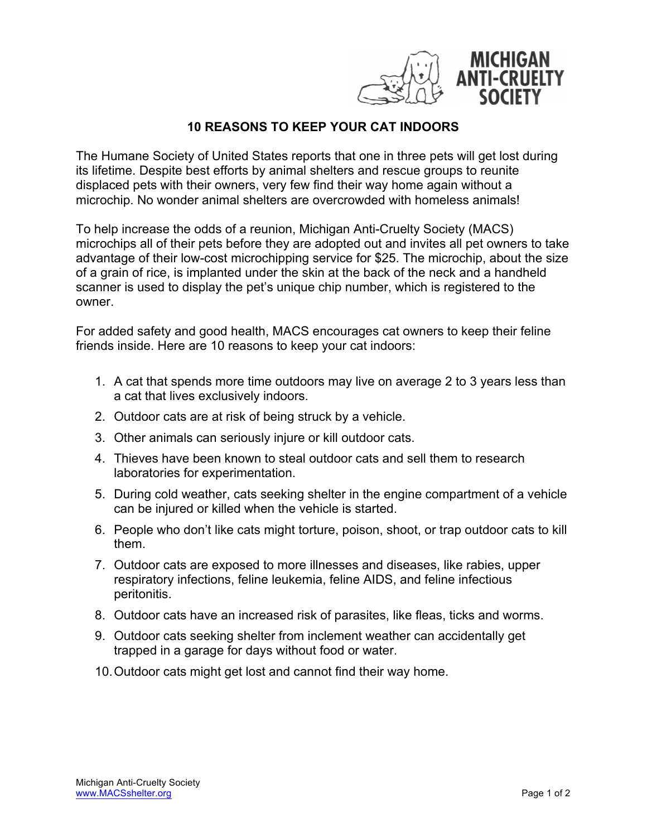

## **10 REASONS TO KEEP YOUR CAT INDOORS**

The Humane Society of United States reports that one in three pets will get lost during its lifetime. Despite best efforts by animal shelters and rescue groups to reunite displaced pets with their owners, very few find their way home again without a microchip. No wonder animal shelters are overcrowded with homeless animals!

To help increase the odds of a reunion, Michigan Anti-Cruelty Society (MACS) microchips all of their pets before they are adopted out and invites all pet owners to take advantage of their low-cost microchipping service for \$25. The microchip, about the size of a grain of rice, is implanted under the skin at the back of the neck and a handheld scanner is used to display the pet's unique chip number, which is registered to the owner.

For added safety and good health, MACS encourages cat owners to keep their feline friends inside. Here are 10 reasons to keep your cat indoors:

- 1. A cat that spends more time outdoors may live on average 2 to 3 years less than a cat that lives exclusively indoors.
- 2. Outdoor cats are at risk of being struck by a vehicle.
- 3. Other animals can seriously injure or kill outdoor cats.
- 4. Thieves have been known to steal outdoor cats and sell them to research laboratories for experimentation.
- 5. During cold weather, cats seeking shelter in the engine compartment of a vehicle can be injured or killed when the vehicle is started.
- 6. People who don't like cats might torture, poison, shoot, or trap outdoor cats to kill them.
- 7. Outdoor cats are exposed to more illnesses and diseases, like rabies, upper respiratory infections, feline leukemia, feline AIDS, and feline infectious peritonitis.
- 8. Outdoor cats have an increased risk of parasites, like fleas, ticks and worms.
- 9. Outdoor cats seeking shelter from inclement weather can accidentally get trapped in a garage for days without food or water.
- 10.Outdoor cats might get lost and cannot find their way home.